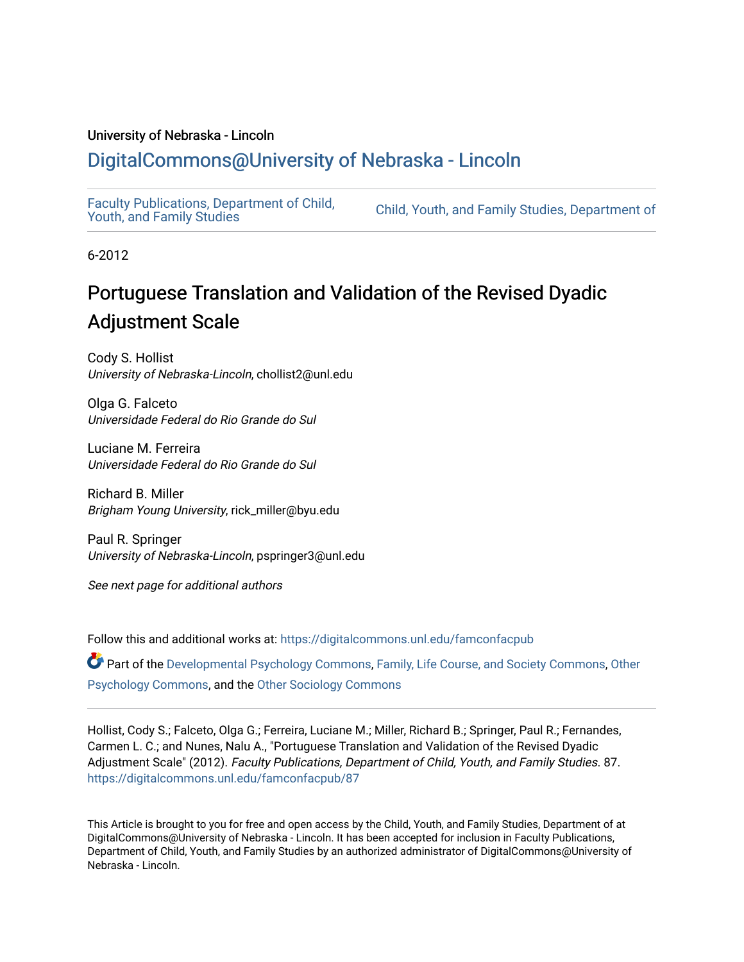## University of Nebraska - Lincoln

## [DigitalCommons@University of Nebraska - Lincoln](https://digitalcommons.unl.edu/)

[Faculty Publications, Department of Child,](https://digitalcommons.unl.edu/famconfacpub) 

Child, [Youth, and Family Studies](https://digitalcommons.unl.edu/famconfacpub), Department of

6-2012

# Portuguese Translation and Validation of the Revised Dyadic Adjustment Scale

Cody S. Hollist University of Nebraska-Lincoln, chollist2@unl.edu

Olga G. Falceto Universidade Federal do Rio Grande do Sul

Luciane M. Ferreira Universidade Federal do Rio Grande do Sul

Richard B. Miller Brigham Young University, rick\_miller@byu.edu

Paul R. Springer University of Nebraska-Lincoln, pspringer3@unl.edu

See next page for additional authors

Follow this and additional works at: [https://digitalcommons.unl.edu/famconfacpub](https://digitalcommons.unl.edu/famconfacpub?utm_source=digitalcommons.unl.edu%2Ffamconfacpub%2F87&utm_medium=PDF&utm_campaign=PDFCoverPages) 

Part of the [Developmental Psychology Commons,](http://network.bepress.com/hgg/discipline/410?utm_source=digitalcommons.unl.edu%2Ffamconfacpub%2F87&utm_medium=PDF&utm_campaign=PDFCoverPages) [Family, Life Course, and Society Commons](http://network.bepress.com/hgg/discipline/419?utm_source=digitalcommons.unl.edu%2Ffamconfacpub%2F87&utm_medium=PDF&utm_campaign=PDFCoverPages), [Other](http://network.bepress.com/hgg/discipline/415?utm_source=digitalcommons.unl.edu%2Ffamconfacpub%2F87&utm_medium=PDF&utm_campaign=PDFCoverPages) [Psychology Commons,](http://network.bepress.com/hgg/discipline/415?utm_source=digitalcommons.unl.edu%2Ffamconfacpub%2F87&utm_medium=PDF&utm_campaign=PDFCoverPages) and the [Other Sociology Commons](http://network.bepress.com/hgg/discipline/434?utm_source=digitalcommons.unl.edu%2Ffamconfacpub%2F87&utm_medium=PDF&utm_campaign=PDFCoverPages) 

Hollist, Cody S.; Falceto, Olga G.; Ferreira, Luciane M.; Miller, Richard B.; Springer, Paul R.; Fernandes, Carmen L. C.; and Nunes, Nalu A., "Portuguese Translation and Validation of the Revised Dyadic Adjustment Scale" (2012). Faculty Publications, Department of Child, Youth, and Family Studies. 87. [https://digitalcommons.unl.edu/famconfacpub/87](https://digitalcommons.unl.edu/famconfacpub/87?utm_source=digitalcommons.unl.edu%2Ffamconfacpub%2F87&utm_medium=PDF&utm_campaign=PDFCoverPages) 

This Article is brought to you for free and open access by the Child, Youth, and Family Studies, Department of at DigitalCommons@University of Nebraska - Lincoln. It has been accepted for inclusion in Faculty Publications, Department of Child, Youth, and Family Studies by an authorized administrator of DigitalCommons@University of Nebraska - Lincoln.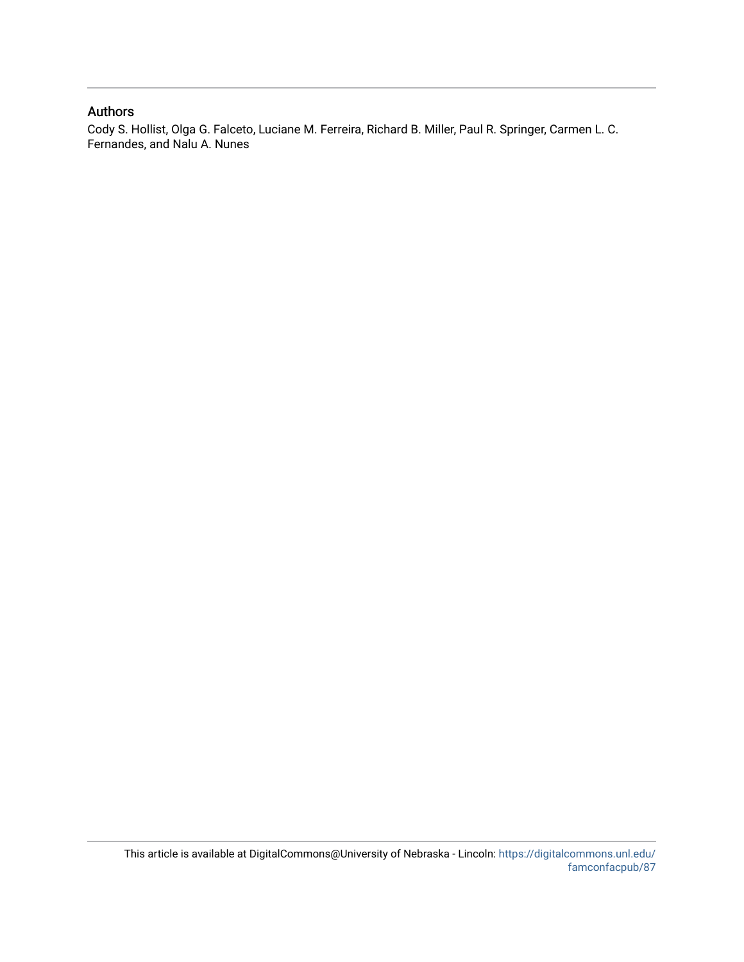## Authors

Cody S. Hollist, Olga G. Falceto, Luciane M. Ferreira, Richard B. Miller, Paul R. Springer, Carmen L. C. Fernandes, and Nalu A. Nunes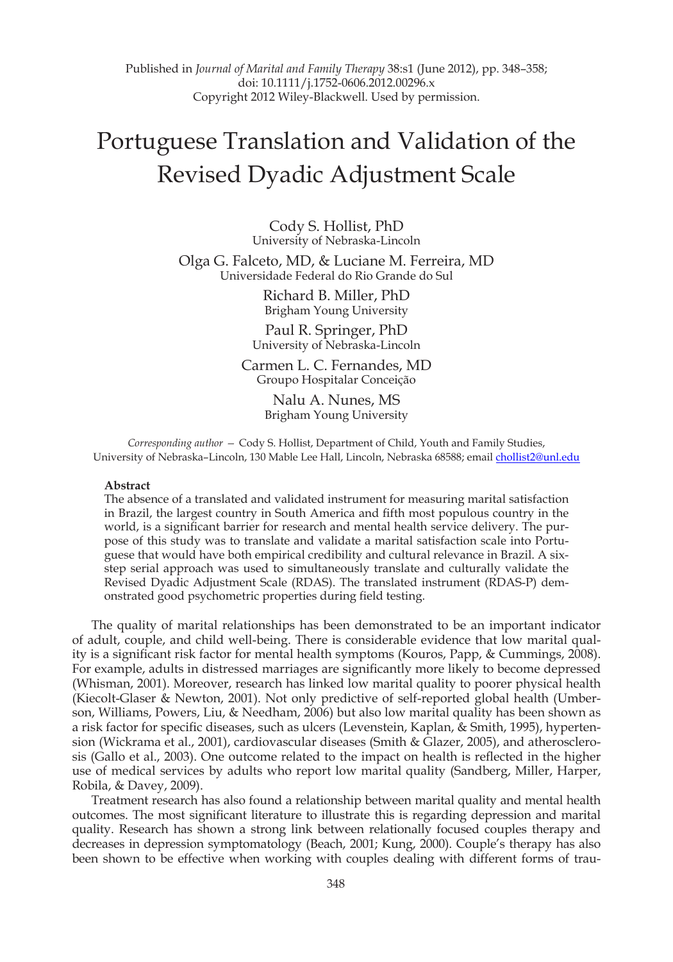Published in *Journal of Marital and Family Therapy* 38:s1 (June 2012), pp. 348–358; doi: 10.1111/j.1752-0606.2012.00296.x Copyright 2012 Wiley-Blackwell. Used by permission.

# Portuguese Translation and Validation of the Revised Dyadic Adjustment Scale

Cody S. Hollist, PhD University of Nebraska-Lincoln

Olga G. Falceto, MD, & Luciane M. Ferreira, MD Universidade Federal do Rio Grande do Sul

> Richard B. Miller, PhD Brigham Young University

Paul R. Springer, PhD University of Nebraska-Lincoln

Carmen L. C. Fernandes, MD Groupo Hospitalar Conceição

> Nalu A. Nunes, MS Brigham Young University

*Corresponding author —* Cody S. Hollist, Department of Child, Youth and Family Studies, University of Nebraska-Lincoln, 130 Mable Lee Hall, Lincoln, Nebraska 68588; email chollist2@unl.edu

#### **Abstract**

The absence of a translated and validated instrument for measuring marital satisfaction in Brazil, the largest country in South America and fifth most populous country in the world, is a significant barrier for research and mental health service delivery. The purpose of this study was to translate and validate a marital satisfaction scale into Portuguese that would have both empirical credibility and cultural relevance in Brazil. A sixstep serial approach was used to simultaneously translate and culturally validate the Revised Dyadic Adjustment Scale (RDAS). The translated instrument (RDAS-P) demonstrated good psychometric properties during field testing.

The quality of marital relationships has been demonstrated to be an important indicator of adult, couple, and child well-being. There is considerable evidence that low marital quality is a significant risk factor for mental health symptoms (Kouros, Papp, & Cummings, 2008). For example, adults in distressed marriages are significantly more likely to become depressed (Whisman, 2001). Moreover, research has linked low marital quality to poorer physical health (Kiecolt-Glaser & Newton, 2001). Not only predictive of self-reported global health (Umberson, Williams, Powers, Liu, & Needham, 2006) but also low marital quality has been shown as a risk factor for specific diseases, such as ulcers (Levenstein, Kaplan, & Smith, 1995), hypertension (Wickrama et al., 2001), cardiovascular diseases (Smith & Glazer, 2005), and atherosclerosis (Gallo et al., 2003). One outcome related to the impact on health is reflected in the higher use of medical services by adults who report low marital quality (Sandberg, Miller, Harper, Robila, & Davey, 2009).

Treatment research has also found a relationship between marital quality and mental health outcomes. The most significant literature to illustrate this is regarding depression and marital quality. Research has shown a strong link between relationally focused couples therapy and decreases in depression symptomatology (Beach, 2001; Kung, 2000). Couple's therapy has also been shown to be effective when working with couples dealing with different forms of trau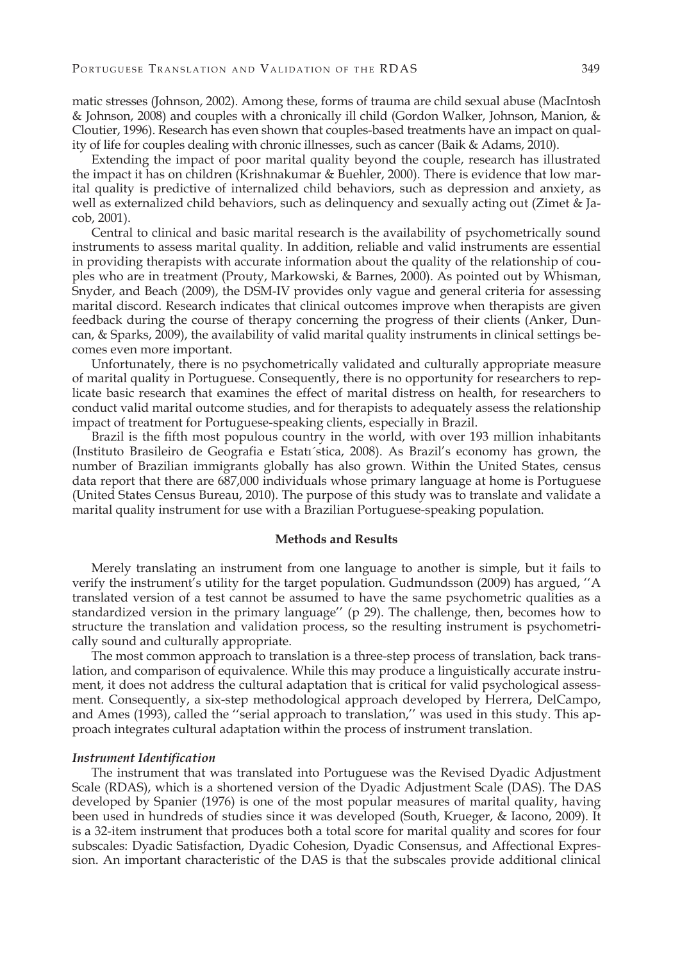matic stresses (Johnson, 2002). Among these, forms of trauma are child sexual abuse (MacIntosh & Johnson, 2008) and couples with a chronically ill child (Gordon Walker, Johnson, Manion, & Cloutier, 1996). Research has even shown that couples-based treatments have an impact on quality of life for couples dealing with chronic illnesses, such as cancer (Baik & Adams, 2010).

Extending the impact of poor marital quality beyond the couple, research has illustrated the impact it has on children (Krishnakumar & Buehler, 2000). There is evidence that low marital quality is predictive of internalized child behaviors, such as depression and anxiety, as well as externalized child behaviors, such as delinquency and sexually acting out (Zimet & Jacob, 2001).

Central to clinical and basic marital research is the availability of psychometrically sound instruments to assess marital quality. In addition, reliable and valid instruments are essential in providing therapists with accurate information about the quality of the relationship of couples who are in treatment (Prouty, Markowski, & Barnes, 2000). As pointed out by Whisman, Snyder, and Beach (2009), the DSM-IV provides only vague and general criteria for assessing marital discord. Research indicates that clinical outcomes improve when therapists are given feedback during the course of therapy concerning the progress of their clients (Anker, Duncan, & Sparks, 2009), the availability of valid marital quality instruments in clinical settings becomes even more important.

Unfortunately, there is no psychometrically validated and culturally appropriate measure of marital quality in Portuguese. Consequently, there is no opportunity for researchers to replicate basic research that examines the effect of marital distress on health, for researchers to conduct valid marital outcome studies, and for therapists to adequately assess the relationship impact of treatment for Portuguese-speaking clients, especially in Brazil.

Brazil is the fifth most populous country in the world, with over 193 million inhabitants (Instituto Brasileiro de Geografia e Estatı´stica, 2008). As Brazil's economy has grown, the number of Brazilian immigrants globally has also grown. Within the United States, census data report that there are 687,000 individuals whose primary language at home is Portuguese (United States Census Bureau, 2010). The purpose of this study was to translate and validate a marital quality instrument for use with a Brazilian Portuguese-speaking population.

#### **Methods and Results**

Merely translating an instrument from one language to another is simple, but it fails to verify the instrument's utility for the target population. Gudmundsson (2009) has argued, ''A translated version of a test cannot be assumed to have the same psychometric qualities as a standardized version in the primary language'' (p 29). The challenge, then, becomes how to structure the translation and validation process, so the resulting instrument is psychometrically sound and culturally appropriate.

The most common approach to translation is a three-step process of translation, back translation, and comparison of equivalence. While this may produce a linguistically accurate instrument, it does not address the cultural adaptation that is critical for valid psychological assessment. Consequently, a six-step methodological approach developed by Herrera, DelCampo, and Ames (1993), called the ''serial approach to translation,'' was used in this study. This approach integrates cultural adaptation within the process of instrument translation.

#### *Instrument Identification*

The instrument that was translated into Portuguese was the Revised Dyadic Adjustment Scale (RDAS), which is a shortened version of the Dyadic Adjustment Scale (DAS). The DAS developed by Spanier (1976) is one of the most popular measures of marital quality, having been used in hundreds of studies since it was developed (South, Krueger, & Iacono, 2009). It is a 32-item instrument that produces both a total score for marital quality and scores for four subscales: Dyadic Satisfaction, Dyadic Cohesion, Dyadic Consensus, and Affectional Expression. An important characteristic of the DAS is that the subscales provide additional clinical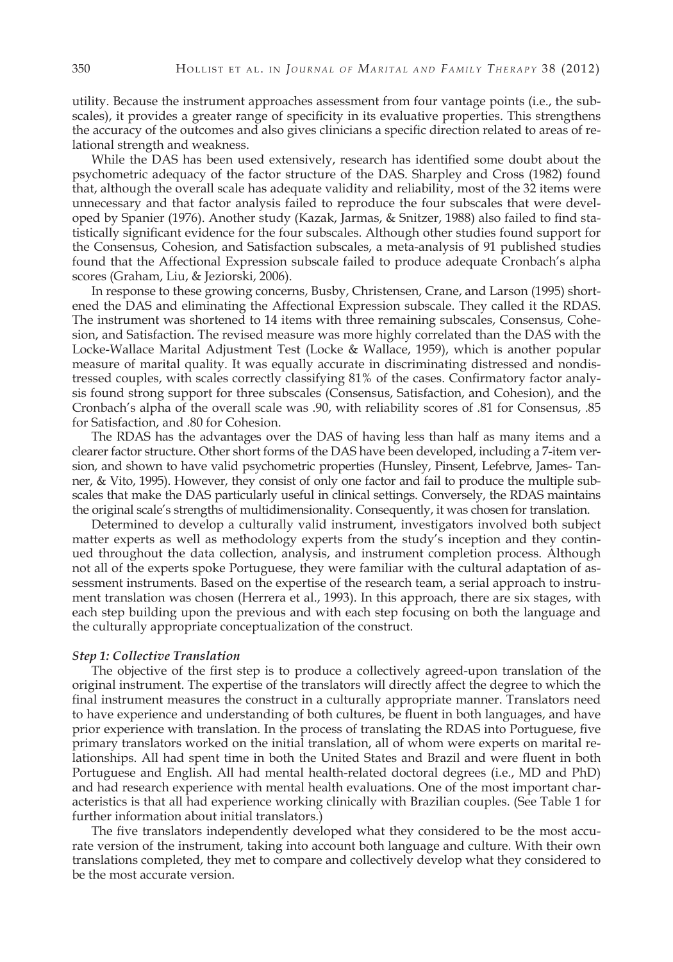utility. Because the instrument approaches assessment from four vantage points (i.e., the subscales), it provides a greater range of specificity in its evaluative properties. This strengthens the accuracy of the outcomes and also gives clinicians a specific direction related to areas of relational strength and weakness.

While the DAS has been used extensively, research has identified some doubt about the psychometric adequacy of the factor structure of the DAS. Sharpley and Cross (1982) found that, although the overall scale has adequate validity and reliability, most of the 32 items were unnecessary and that factor analysis failed to reproduce the four subscales that were developed by Spanier (1976). Another study (Kazak, Jarmas, & Snitzer, 1988) also failed to find statistically significant evidence for the four subscales. Although other studies found support for the Consensus, Cohesion, and Satisfaction subscales, a meta-analysis of 91 published studies found that the Affectional Expression subscale failed to produce adequate Cronbach's alpha scores (Graham, Liu, & Jeziorski, 2006).

In response to these growing concerns, Busby, Christensen, Crane, and Larson (1995) shortened the DAS and eliminating the Affectional Expression subscale. They called it the RDAS. The instrument was shortened to 14 items with three remaining subscales, Consensus, Cohesion, and Satisfaction. The revised measure was more highly correlated than the DAS with the Locke-Wallace Marital Adjustment Test (Locke & Wallace, 1959), which is another popular measure of marital quality. It was equally accurate in discriminating distressed and nondistressed couples, with scales correctly classifying 81% of the cases. Confirmatory factor analysis found strong support for three subscales (Consensus, Satisfaction, and Cohesion), and the Cronbach's alpha of the overall scale was .90, with reliability scores of .81 for Consensus, .85 for Satisfaction, and .80 for Cohesion.

The RDAS has the advantages over the DAS of having less than half as many items and a clearer factor structure. Other short forms of the DAS have been developed, including a 7-item version, and shown to have valid psychometric properties (Hunsley, Pinsent, Lefebrve, James- Tanner, & Vito, 1995). However, they consist of only one factor and fail to produce the multiple subscales that make the DAS particularly useful in clinical settings. Conversely, the RDAS maintains the original scale's strengths of multidimensionality. Consequently, it was chosen for translation.

Determined to develop a culturally valid instrument, investigators involved both subject matter experts as well as methodology experts from the study's inception and they continued throughout the data collection, analysis, and instrument completion process. Although not all of the experts spoke Portuguese, they were familiar with the cultural adaptation of assessment instruments. Based on the expertise of the research team, a serial approach to instrument translation was chosen (Herrera et al., 1993). In this approach, there are six stages, with each step building upon the previous and with each step focusing on both the language and the culturally appropriate conceptualization of the construct.

#### *Step 1: Collective Translation*

The objective of the first step is to produce a collectively agreed-upon translation of the original instrument. The expertise of the translators will directly affect the degree to which the final instrument measures the construct in a culturally appropriate manner. Translators need to have experience and understanding of both cultures, be fluent in both languages, and have prior experience with translation. In the process of translating the RDAS into Portuguese, five primary translators worked on the initial translation, all of whom were experts on marital relationships. All had spent time in both the United States and Brazil and were fluent in both Portuguese and English. All had mental health-related doctoral degrees (i.e., MD and PhD) and had research experience with mental health evaluations. One of the most important characteristics is that all had experience working clinically with Brazilian couples. (See Table 1 for further information about initial translators.)

The five translators independently developed what they considered to be the most accurate version of the instrument, taking into account both language and culture. With their own translations completed, they met to compare and collectively develop what they considered to be the most accurate version.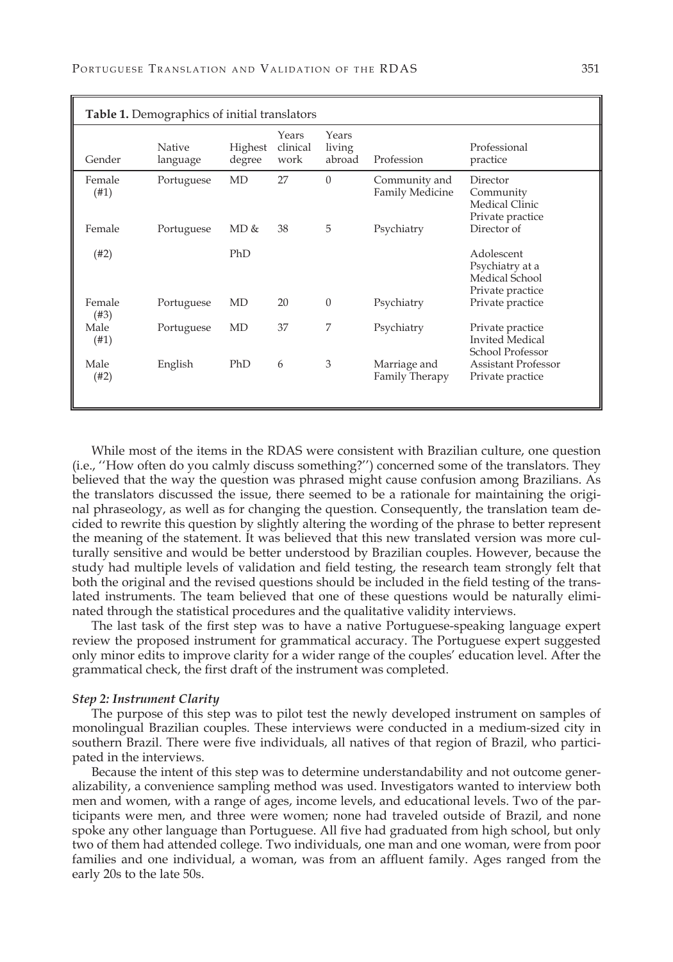| Table 1. Demographics of initial translators |                           |                   |                           |                           |                                  |                                                                     |  |  |
|----------------------------------------------|---------------------------|-------------------|---------------------------|---------------------------|----------------------------------|---------------------------------------------------------------------|--|--|
| Gender                                       | <b>Native</b><br>language | Highest<br>degree | Years<br>clinical<br>work | Years<br>living<br>abroad | Profession                       | Professional<br>practice                                            |  |  |
| Female<br>(#1)                               | Portuguese                | MD                | 27                        | $\Omega$                  | Community and<br>Family Medicine | Director<br>Community<br>Medical Clinic<br>Private practice         |  |  |
| Female                                       | Portuguese                | MD &              | 38                        | 5                         | Psychiatry                       | Director of                                                         |  |  |
| (#2)                                         |                           | PhD               |                           |                           |                                  | Adolescent<br>Psychiatry at a<br>Medical School<br>Private practice |  |  |
| Female<br>(#3)                               | Portuguese                | MD                | 20                        | $\mathbf{0}$              | Psychiatry                       | Private practice                                                    |  |  |
| Male<br>(11)                                 | Portuguese                | MD                | 37                        | 7                         | Psychiatry                       | Private practice<br><b>Invited Medical</b><br>School Professor      |  |  |
| Male<br>(#2)                                 | English                   | PhD               | 6                         | 3                         | Marriage and<br>Family Therapy   | <b>Assistant Professor</b><br>Private practice                      |  |  |

While most of the items in the RDAS were consistent with Brazilian culture, one question (i.e., ''How often do you calmly discuss something?'') concerned some of the translators. They believed that the way the question was phrased might cause confusion among Brazilians. As the translators discussed the issue, there seemed to be a rationale for maintaining the original phraseology, as well as for changing the question. Consequently, the translation team decided to rewrite this question by slightly altering the wording of the phrase to better represent the meaning of the statement. It was believed that this new translated version was more culturally sensitive and would be better understood by Brazilian couples. However, because the study had multiple levels of validation and field testing, the research team strongly felt that both the original and the revised questions should be included in the field testing of the translated instruments. The team believed that one of these questions would be naturally eliminated through the statistical procedures and the qualitative validity interviews.

The last task of the first step was to have a native Portuguese-speaking language expert review the proposed instrument for grammatical accuracy. The Portuguese expert suggested only minor edits to improve clarity for a wider range of the couples' education level. After the grammatical check, the first draft of the instrument was completed.

#### *Step 2: Instrument Clarity*

The purpose of this step was to pilot test the newly developed instrument on samples of monolingual Brazilian couples. These interviews were conducted in a medium-sized city in southern Brazil. There were five individuals, all natives of that region of Brazil, who participated in the interviews.

Because the intent of this step was to determine understandability and not outcome generalizability, a convenience sampling method was used. Investigators wanted to interview both men and women, with a range of ages, income levels, and educational levels. Two of the participants were men, and three were women; none had traveled outside of Brazil, and none spoke any other language than Portuguese. All five had graduated from high school, but only two of them had attended college. Two individuals, one man and one woman, were from poor families and one individual, a woman, was from an affluent family. Ages ranged from the early 20s to the late 50s.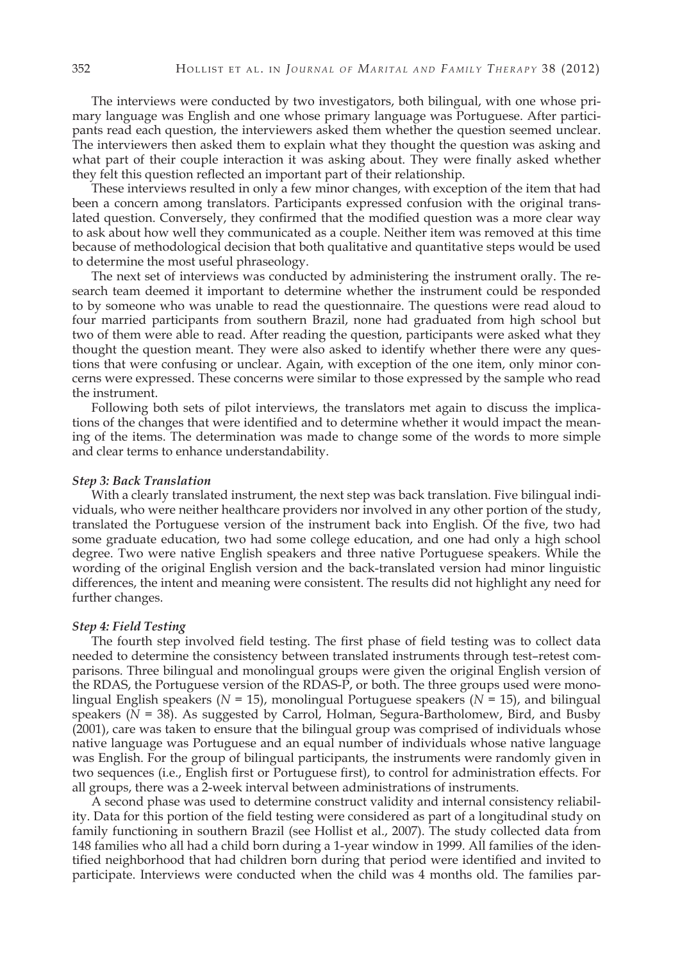The interviews were conducted by two investigators, both bilingual, with one whose primary language was English and one whose primary language was Portuguese. After participants read each question, the interviewers asked them whether the question seemed unclear. The interviewers then asked them to explain what they thought the question was asking and what part of their couple interaction it was asking about. They were finally asked whether they felt this question reflected an important part of their relationship.

These interviews resulted in only a few minor changes, with exception of the item that had been a concern among translators. Participants expressed confusion with the original translated question. Conversely, they confirmed that the modified question was a more clear way to ask about how well they communicated as a couple. Neither item was removed at this time because of methodological decision that both qualitative and quantitative steps would be used to determine the most useful phraseology.

The next set of interviews was conducted by administering the instrument orally. The research team deemed it important to determine whether the instrument could be responded to by someone who was unable to read the questionnaire. The questions were read aloud to four married participants from southern Brazil, none had graduated from high school but two of them were able to read. After reading the question, participants were asked what they thought the question meant. They were also asked to identify whether there were any questions that were confusing or unclear. Again, with exception of the one item, only minor concerns were expressed. These concerns were similar to those expressed by the sample who read the instrument.

Following both sets of pilot interviews, the translators met again to discuss the implications of the changes that were identified and to determine whether it would impact the meaning of the items. The determination was made to change some of the words to more simple and clear terms to enhance understandability.

#### *Step 3: Back Translation*

With a clearly translated instrument, the next step was back translation. Five bilingual individuals, who were neither healthcare providers nor involved in any other portion of the study, translated the Portuguese version of the instrument back into English. Of the five, two had some graduate education, two had some college education, and one had only a high school degree. Two were native English speakers and three native Portuguese speakers. While the wording of the original English version and the back-translated version had minor linguistic differences, the intent and meaning were consistent. The results did not highlight any need for further changes.

#### *Step 4: Field Testing*

The fourth step involved field testing. The first phase of field testing was to collect data needed to determine the consistency between translated instruments through test–retest comparisons. Three bilingual and monolingual groups were given the original English version of the RDAS, the Portuguese version of the RDAS-P, or both. The three groups used were monolingual English speakers (*N* = 15), monolingual Portuguese speakers (*N* = 15), and bilingual speakers (*N* = 38). As suggested by Carrol, Holman, Segura-Bartholomew, Bird, and Busby (2001), care was taken to ensure that the bilingual group was comprised of individuals whose native language was Portuguese and an equal number of individuals whose native language was English. For the group of bilingual participants, the instruments were randomly given in two sequences (i.e., English first or Portuguese first), to control for administration effects. For all groups, there was a 2-week interval between administrations of instruments.

A second phase was used to determine construct validity and internal consistency reliability. Data for this portion of the field testing were considered as part of a longitudinal study on family functioning in southern Brazil (see Hollist et al., 2007). The study collected data from 148 families who all had a child born during a 1-year window in 1999. All families of the identified neighborhood that had children born during that period were identified and invited to participate. Interviews were conducted when the child was 4 months old. The families par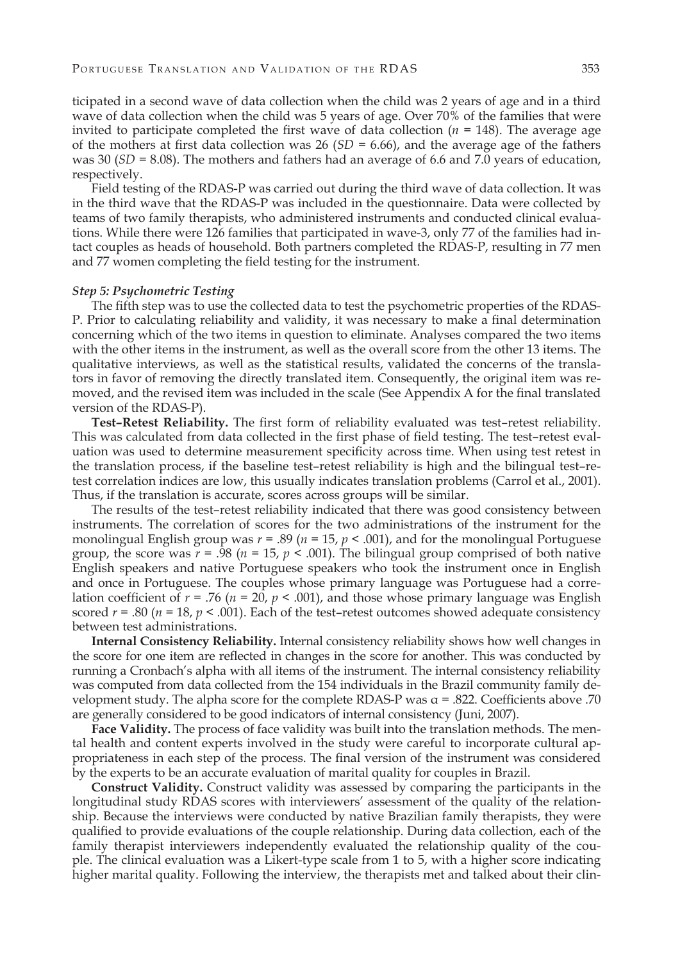ticipated in a second wave of data collection when the child was 2 years of age and in a third wave of data collection when the child was 5 years of age. Over 70% of the families that were invited to participate completed the first wave of data collection  $(n = 148)$ . The average age of the mothers at first data collection was 26 (*SD* = 6.66), and the average age of the fathers was 30  $(SD = 8.08)$ . The mothers and fathers had an average of 6.6 and 7.0 years of education, respectively.

Field testing of the RDAS-P was carried out during the third wave of data collection. It was in the third wave that the RDAS-P was included in the questionnaire. Data were collected by teams of two family therapists, who administered instruments and conducted clinical evaluations. While there were 126 families that participated in wave-3, only 77 of the families had intact couples as heads of household. Both partners completed the RDAS-P, resulting in 77 men and 77 women completing the field testing for the instrument.

#### *Step 5: Psychometric Testing*

The fifth step was to use the collected data to test the psychometric properties of the RDAS-P. Prior to calculating reliability and validity, it was necessary to make a final determination concerning which of the two items in question to eliminate. Analyses compared the two items with the other items in the instrument, as well as the overall score from the other 13 items. The qualitative interviews, as well as the statistical results, validated the concerns of the translators in favor of removing the directly translated item. Consequently, the original item was removed, and the revised item was included in the scale (See Appendix A for the final translated version of the RDAS-P).

**Test–Retest Reliability.** The first form of reliability evaluated was test–retest reliability. This was calculated from data collected in the first phase of field testing. The test–retest evaluation was used to determine measurement specificity across time. When using test retest in the translation process, if the baseline test–retest reliability is high and the bilingual test–retest correlation indices are low, this usually indicates translation problems (Carrol et al., 2001). Thus, if the translation is accurate, scores across groups will be similar.

The results of the test–retest reliability indicated that there was good consistency between instruments. The correlation of scores for the two administrations of the instrument for the monolingual English group was *r* = .89 (*n* = 15, *p* < .001), and for the monolingual Portuguese group, the score was  $r = .98$  ( $n = 15$ ,  $p < .001$ ). The bilingual group comprised of both native English speakers and native Portuguese speakers who took the instrument once in English and once in Portuguese. The couples whose primary language was Portuguese had a correlation coefficient of  $r = .76$  ( $n = 20$ ,  $p < .001$ ), and those whose primary language was English scored  $r = .80$  ( $n = 18$ ,  $p < .001$ ). Each of the test–retest outcomes showed adequate consistency between test administrations.

**Internal Consistency Reliability.** Internal consistency reliability shows how well changes in the score for one item are reflected in changes in the score for another. This was conducted by running a Cronbach's alpha with all items of the instrument. The internal consistency reliability was computed from data collected from the 154 individuals in the Brazil community family development study. The alpha score for the complete RDAS-P was  $\alpha$  = .822. Coefficients above .70 are generally considered to be good indicators of internal consistency (Juni, 2007).

**Face Validity.** The process of face validity was built into the translation methods. The mental health and content experts involved in the study were careful to incorporate cultural appropriateness in each step of the process. The final version of the instrument was considered by the experts to be an accurate evaluation of marital quality for couples in Brazil.

**Construct Validity.** Construct validity was assessed by comparing the participants in the longitudinal study RDAS scores with interviewers' assessment of the quality of the relationship. Because the interviews were conducted by native Brazilian family therapists, they were qualified to provide evaluations of the couple relationship. During data collection, each of the family therapist interviewers independently evaluated the relationship quality of the couple. The clinical evaluation was a Likert-type scale from 1 to 5, with a higher score indicating higher marital quality. Following the interview, the therapists met and talked about their clin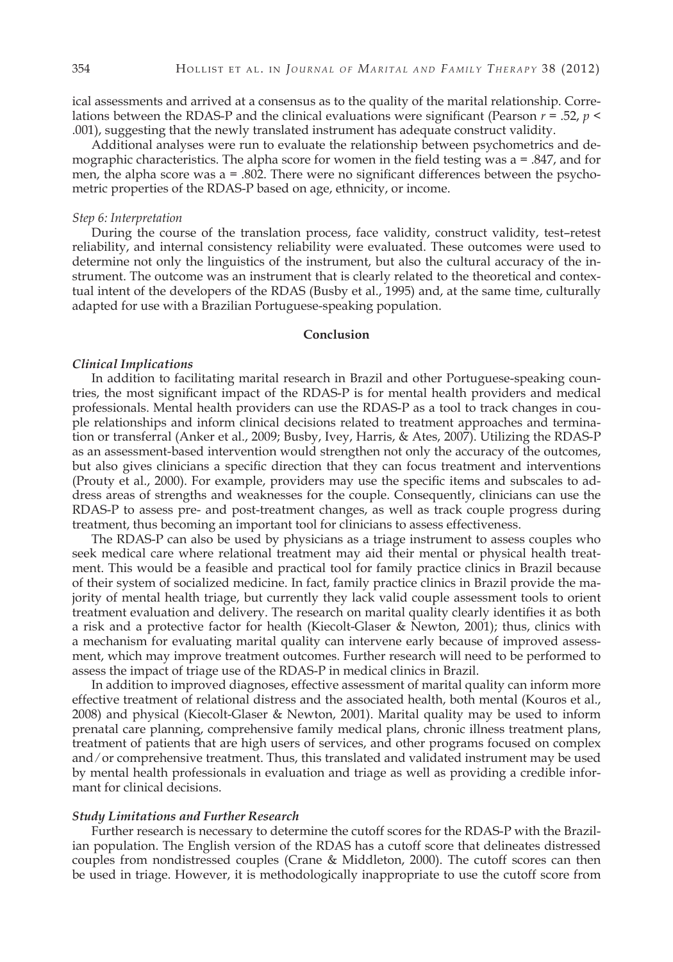ical assessments and arrived at a consensus as to the quality of the marital relationship. Correlations between the RDAS-P and the clinical evaluations were significant (Pearson *r* = .52, *p* < .001), suggesting that the newly translated instrument has adequate construct validity.

Additional analyses were run to evaluate the relationship between psychometrics and demographic characteristics. The alpha score for women in the field testing was a = .847, and for men, the alpha score was  $a = 0.802$ . There were no significant differences between the psychometric properties of the RDAS-P based on age, ethnicity, or income.

#### *Step 6: Interpretation*

During the course of the translation process, face validity, construct validity, test–retest reliability, and internal consistency reliability were evaluated. These outcomes were used to determine not only the linguistics of the instrument, but also the cultural accuracy of the instrument. The outcome was an instrument that is clearly related to the theoretical and contextual intent of the developers of the RDAS (Busby et al., 1995) and, at the same time, culturally adapted for use with a Brazilian Portuguese-speaking population.

#### **Conclusion**

#### *Clinical Implications*

In addition to facilitating marital research in Brazil and other Portuguese-speaking countries, the most significant impact of the RDAS-P is for mental health providers and medical professionals. Mental health providers can use the RDAS-P as a tool to track changes in couple relationships and inform clinical decisions related to treatment approaches and termination or transferral (Anker et al., 2009; Busby, Ivey, Harris, & Ates, 2007). Utilizing the RDAS-P as an assessment-based intervention would strengthen not only the accuracy of the outcomes, but also gives clinicians a specific direction that they can focus treatment and interventions (Prouty et al., 2000). For example, providers may use the specific items and subscales to address areas of strengths and weaknesses for the couple. Consequently, clinicians can use the RDAS-P to assess pre- and post-treatment changes, as well as track couple progress during treatment, thus becoming an important tool for clinicians to assess effectiveness.

The RDAS-P can also be used by physicians as a triage instrument to assess couples who seek medical care where relational treatment may aid their mental or physical health treatment. This would be a feasible and practical tool for family practice clinics in Brazil because of their system of socialized medicine. In fact, family practice clinics in Brazil provide the majority of mental health triage, but currently they lack valid couple assessment tools to orient treatment evaluation and delivery. The research on marital quality clearly identifies it as both a risk and a protective factor for health (Kiecolt-Glaser & Newton, 2001); thus, clinics with a mechanism for evaluating marital quality can intervene early because of improved assessment, which may improve treatment outcomes. Further research will need to be performed to assess the impact of triage use of the RDAS-P in medical clinics in Brazil.

In addition to improved diagnoses, effective assessment of marital quality can inform more effective treatment of relational distress and the associated health, both mental (Kouros et al., 2008) and physical (Kiecolt-Glaser & Newton, 2001). Marital quality may be used to inform prenatal care planning, comprehensive family medical plans, chronic illness treatment plans, treatment of patients that are high users of services, and other programs focused on complex and ⁄ or comprehensive treatment. Thus, this translated and validated instrument may be used by mental health professionals in evaluation and triage as well as providing a credible informant for clinical decisions.

#### *Study Limitations and Further Research*

Further research is necessary to determine the cutoff scores for the RDAS-P with the Brazilian population. The English version of the RDAS has a cutoff score that delineates distressed couples from nondistressed couples (Crane & Middleton, 2000). The cutoff scores can then be used in triage. However, it is methodologically inappropriate to use the cutoff score from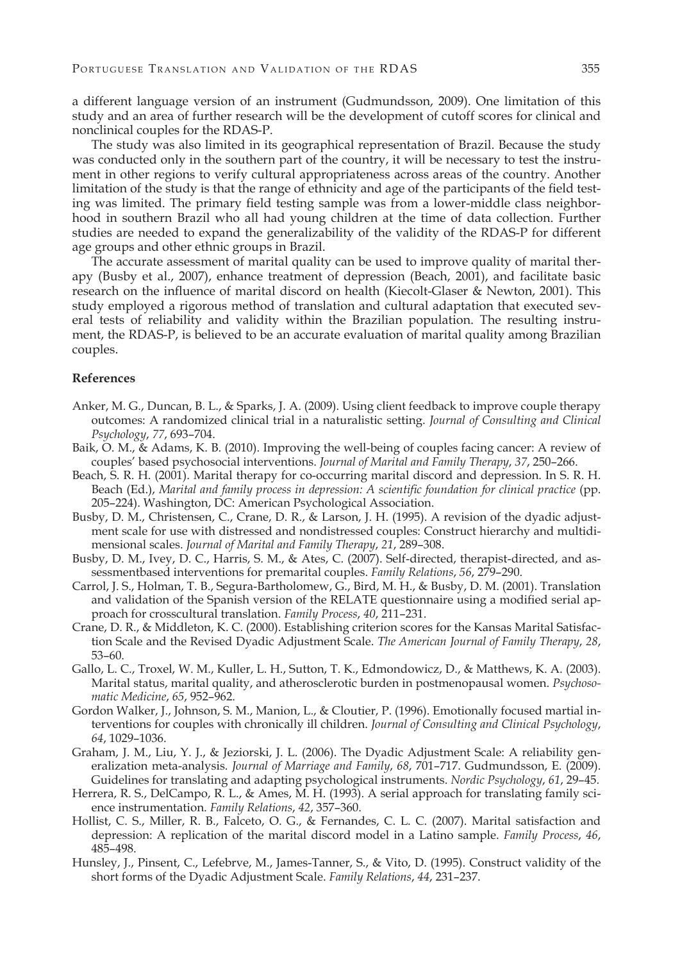a different language version of an instrument (Gudmundsson, 2009). One limitation of this study and an area of further research will be the development of cutoff scores for clinical and nonclinical couples for the RDAS-P.

The study was also limited in its geographical representation of Brazil. Because the study was conducted only in the southern part of the country, it will be necessary to test the instrument in other regions to verify cultural appropriateness across areas of the country. Another limitation of the study is that the range of ethnicity and age of the participants of the field testing was limited. The primary field testing sample was from a lower-middle class neighborhood in southern Brazil who all had young children at the time of data collection. Further studies are needed to expand the generalizability of the validity of the RDAS-P for different age groups and other ethnic groups in Brazil.

The accurate assessment of marital quality can be used to improve quality of marital therapy (Busby et al., 2007), enhance treatment of depression (Beach, 2001), and facilitate basic research on the influence of marital discord on health (Kiecolt-Glaser & Newton, 2001). This study employed a rigorous method of translation and cultural adaptation that executed several tests of reliability and validity within the Brazilian population. The resulting instrument, the RDAS-P, is believed to be an accurate evaluation of marital quality among Brazilian couples.

#### **References**

- Anker, M. G., Duncan, B. L., & Sparks, J. A. (2009). Using client feedback to improve couple therapy outcomes: A randomized clinical trial in a naturalistic setting. *Journal of Consulting and Clinical Psychology*, *77*, 693–704.
- Baik, O. M., & Adams, K. B. (2010). Improving the well-being of couples facing cancer: A review of couples' based psychosocial interventions. *Journal of Marital and Family Therapy*, *37*, 250–266.
- Beach, S. R. H. (2001). Marital therapy for co-occurring marital discord and depression. In S. R. H. Beach (Ed.), *Marital and family process in depression: A scientific foundation for clinical practice* (pp. 205–224). Washington, DC: American Psychological Association.
- Busby, D. M., Christensen, C., Crane, D. R., & Larson, J. H. (1995). A revision of the dyadic adjustment scale for use with distressed and nondistressed couples: Construct hierarchy and multidimensional scales. *Journal of Marital and Family Therapy*, *21*, 289–308.
- Busby, D. M., Ivey, D. C., Harris, S. M., & Ates, C. (2007). Self-directed, therapist-directed, and assessmentbased interventions for premarital couples. *Family Relations*, *56*, 279–290.
- Carrol, J. S., Holman, T. B., Segura-Bartholomew, G., Bird, M. H., & Busby, D. M. (2001). Translation and validation of the Spanish version of the RELATE questionnaire using a modified serial approach for crosscultural translation. *Family Process*, *40*, 211–231.
- Crane, D. R., & Middleton, K. C. (2000). Establishing criterion scores for the Kansas Marital Satisfaction Scale and the Revised Dyadic Adjustment Scale. *The American Journal of Family Therapy*, *28*, 53–60.
- Gallo, L. C., Troxel, W. M., Kuller, L. H., Sutton, T. K., Edmondowicz, D., & Matthews, K. A. (2003). Marital status, marital quality, and atherosclerotic burden in postmenopausal women. *Psychosomatic Medicine*, *65*, 952–962.
- Gordon Walker, J., Johnson, S. M., Manion, L., & Cloutier, P. (1996). Emotionally focused martial interventions for couples with chronically ill children. *Journal of Consulting and Clinical Psychology*, *64*, 1029–1036.
- Graham, J. M., Liu, Y. J., & Jeziorski, J. L. (2006). The Dyadic Adjustment Scale: A reliability generalization meta-analysis. *Journal of Marriage and Family*, *68*, 701–717. Gudmundsson, E. (2009). Guidelines for translating and adapting psychological instruments. *Nordic Psychology*, *61*, 29–45.
- Herrera, R. S., DelCampo, R. L., & Ames, M. H. (1993). A serial approach for translating family science instrumentation. *Family Relations*, *42*, 357–360.
- Hollist, C. S., Miller, R. B., Falceto, O. G., & Fernandes, C. L. C. (2007). Marital satisfaction and depression: A replication of the marital discord model in a Latino sample. *Family Process*, *46*, 485–498.
- Hunsley, J., Pinsent, C., Lefebrve, M., James-Tanner, S., & Vito, D. (1995). Construct validity of the short forms of the Dyadic Adjustment Scale. *Family Relations*, *44*, 231–237.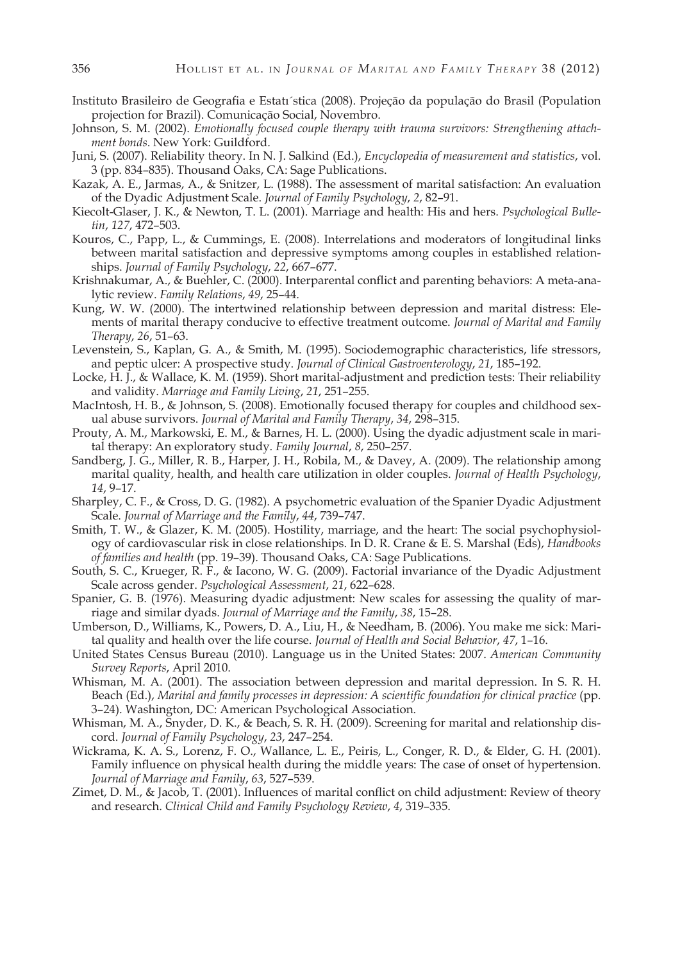- Instituto Brasileiro de Geografia e Estatı´stica (2008). Projeção da população do Brasil (Population projection for Brazil). Comunicação Social, Novembro.
- Johnson, S. M. (2002). *Emotionally focused couple therapy with trauma survivors: Strengthening attachment bonds*. New York: Guildford.
- Juni, S. (2007). Reliability theory. In N. J. Salkind (Ed.), *Encyclopedia of measurement and statistics*, vol. 3 (pp. 834–835). Thousand Oaks, CA: Sage Publications.
- Kazak, A. E., Jarmas, A., & Snitzer, L. (1988). The assessment of marital satisfaction: An evaluation of the Dyadic Adjustment Scale. *Journal of Family Psychology*, *2*, 82–91.
- Kiecolt-Glaser, J. K., & Newton, T. L. (2001). Marriage and health: His and hers. *Psychological Bulletin*, *127*, 472–503.
- Kouros, C., Papp, L., & Cummings, E. (2008). Interrelations and moderators of longitudinal links between marital satisfaction and depressive symptoms among couples in established relationships. *Journal of Family Psychology*, *22*, 667–677.
- Krishnakumar, A., & Buehler, C. (2000). Interparental conflict and parenting behaviors: A meta-analytic review. *Family Relations*, *49*, 25–44.
- Kung, W. W. (2000). The intertwined relationship between depression and marital distress: Elements of marital therapy conducive to effective treatment outcome. *Journal of Marital and Family Therapy*, *26*, 51–63.
- Levenstein, S., Kaplan, G. A., & Smith, M. (1995). Sociodemographic characteristics, life stressors, and peptic ulcer: A prospective study. *Journal of Clinical Gastroenterology*, *21*, 185–192.
- Locke, H. J., & Wallace, K. M. (1959). Short marital-adjustment and prediction tests: Their reliability and validity. *Marriage and Family Living*, *21*, 251–255.
- MacIntosh, H. B., & Johnson, S. (2008). Emotionally focused therapy for couples and childhood sexual abuse survivors. *Journal of Marital and Family Therapy*, *34*, 298–315.
- Prouty, A. M., Markowski, E. M., & Barnes, H. L. (2000). Using the dyadic adjustment scale in marital therapy: An exploratory study. *Family Journal*, *8*, 250–257.
- Sandberg, J. G., Miller, R. B., Harper, J. H., Robila, M., & Davey, A. (2009). The relationship among marital quality, health, and health care utilization in older couples. *Journal of Health Psychology*, *14*, 9–17.
- Sharpley, C. F., & Cross, D. G. (1982). A psychometric evaluation of the Spanier Dyadic Adjustment Scale. *Journal of Marriage and the Family*, *44*, 739–747.
- Smith, T. W., & Glazer, K. M. (2005). Hostility, marriage, and the heart: The social psychophysiology of cardiovascular risk in close relationships. In D. R. Crane & E. S. Marshal (Eds), *Handbooks of families and health* (pp. 19–39). Thousand Oaks, CA: Sage Publications.
- South, S. C., Krueger, R. F., & Iacono, W. G. (2009). Factorial invariance of the Dyadic Adjustment Scale across gender. *Psychological Assessment*, *21*, 622–628.
- Spanier, G. B. (1976). Measuring dyadic adjustment: New scales for assessing the quality of marriage and similar dyads. *Journal of Marriage and the Family*, *38*, 15–28.
- Umberson, D., Williams, K., Powers, D. A., Liu, H., & Needham, B. (2006). You make me sick: Marital quality and health over the life course. *Journal of Health and Social Behavior*, *47*, 1–16.
- United States Census Bureau (2010). Language us in the United States: 2007. *American Community Survey Reports*, April 2010.
- Whisman, M. A. (2001). The association between depression and marital depression. In S. R. H. Beach (Ed.), *Marital and family processes in depression: A scientific foundation for clinical practice* (pp. 3–24). Washington, DC: American Psychological Association.
- Whisman, M. A., Snyder, D. K., & Beach, S. R. H. (2009). Screening for marital and relationship discord. *Journal of Family Psychology*, *23*, 247–254.
- Wickrama, K. A. S., Lorenz, F. O., Wallance, L. E., Peiris, L., Conger, R. D., & Elder, G. H. (2001). Family influence on physical health during the middle years: The case of onset of hypertension. *Journal of Marriage and Family*, *63*, 527–539.
- Zimet, D. M., & Jacob, T. (2001). Influences of marital conflict on child adjustment: Review of theory and research. *Clinical Child and Family Psychology Review*, *4*, 319–335.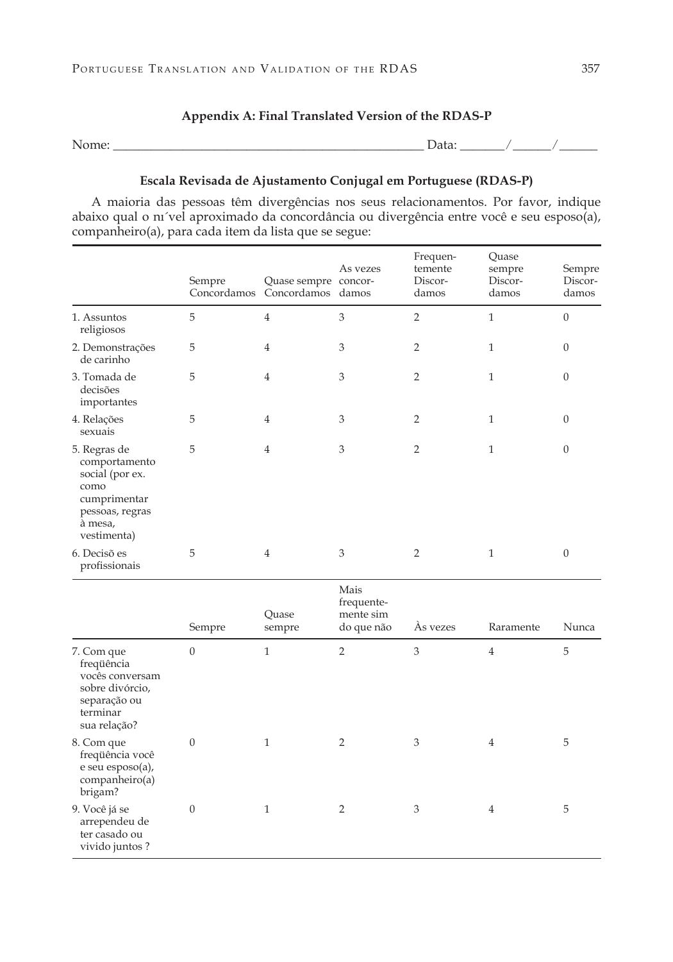### **Appendix A: Final Translated Version of the RDAS-P**

```
Nome: _________________________________________________ Data: _______ ⁄ ______ ⁄ ______
```
### **Escala Revisada de Ajustamento Conjugal em Portuguese (RDAS-P)**

A maioria das pessoas têm divergências nos seus relacionamentos. Por favor, indique abaixo qual o nı´vel aproximado da concordância ou divergência entre você e seu esposo(a), companheiro(a), para cada item da lista que se segue:

|                                                                                                                       | Sempre       | Quase sempre concor-<br>Concordamos Concordamos damos | As vezes                                      | Frequen-<br>temente<br>Discor-<br>damos | Quase<br>sempre<br>Discor-<br>damos | Sempre<br>Discor-<br>damos |
|-----------------------------------------------------------------------------------------------------------------------|--------------|-------------------------------------------------------|-----------------------------------------------|-----------------------------------------|-------------------------------------|----------------------------|
| 1. Assuntos<br>religiosos                                                                                             | 5            | 4                                                     | 3                                             | $\overline{2}$                          | $\mathbf{1}$                        | $\boldsymbol{0}$           |
| 2. Demonstrações<br>de carinho                                                                                        | 5            | 4                                                     | 3                                             | $\overline{2}$                          | $\mathbf{1}$                        | $\boldsymbol{0}$           |
| 3. Tomada de<br>decisões<br>importantes                                                                               | 5            | $\overline{4}$                                        | 3                                             | $\overline{2}$                          | $\mathbf{1}$                        | $\theta$                   |
| 4. Relações<br>sexuais                                                                                                | 5            | 4                                                     | 3                                             | $\overline{2}$                          | 1                                   | $\boldsymbol{0}$           |
| 5. Regras de<br>comportamento<br>social (por ex.<br>como<br>cumprimentar<br>pessoas, regras<br>à mesa,<br>vestimenta) | 5            | $\overline{4}$                                        | 3                                             | $\overline{2}$                          | $\mathbf{1}$                        | $\theta$                   |
| 6. Decisõ es<br>profissionais                                                                                         | 5            | $\overline{4}$                                        | 3                                             | $\overline{2}$                          | 1                                   | $\theta$                   |
|                                                                                                                       | Sempre       | Quase<br>sempre                                       | Mais<br>frequente-<br>mente sim<br>do que não | Às vezes                                | Raramente                           | Nunca                      |
| 7. Com que<br>freqüência<br>vocês conversam<br>sobre divórcio,<br>senaracão ou                                        | $\mathbf{0}$ | $\mathbf{1}$                                          | $\overline{2}$                                | 3                                       | $\overline{4}$                      | 5                          |

| sobre divórcio,<br>separação ou<br>terminar<br>sua relação?                        |          |   |   |   |   |
|------------------------------------------------------------------------------------|----------|---|---|---|---|
| 8. Com que<br>freqüência você<br>e seu esposo $(a)$ ,<br>companheiro(a)<br>brigam? | $\theta$ | 2 | 3 | 4 | 5 |
| 9. Você já se<br>arrependeu de<br>ter casado ou<br>vivido juntos?                  | $\theta$ | 2 | 3 | 4 | 5 |